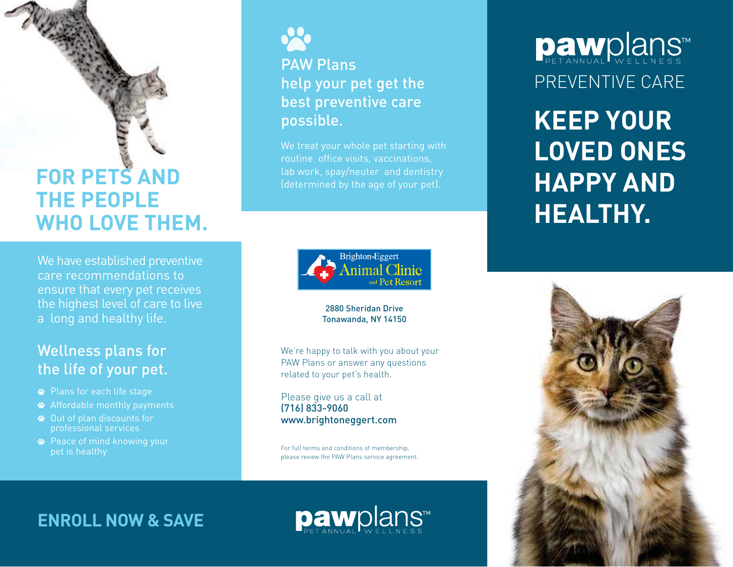# **FOR PETS AND THE PEOPLE WHO LOVE THEM.**

We have established preventive care recommendations to ensure that every pet receives the highest level of care to live a long and healthy life.

#### Wellness plans for the life of your pet.

- Plans for each life stage
- Affordable monthly payments
- Out of plan discounts for professional services
- **<sup>■</sup>** Peace of mind knowing your pet is healthy



PAW Plans help your pet get the best preventive care possible.

We treat your whole pet starting with routine office visits, vaccinations, lab work, spay/neuter and dentistry



#### 2880 Sheridan Drive Tonawanda, NY 14150

We're happy to talk with you about your PAW Plans or answer any questions related to your pet's health.

Please give us a call at (716) 833-9060 www.brightoneggert.com

For full terms and conditions of membership, please review the PAW Plans service agreement. **Daw**plans™ PREVENTIVE CARE

**KEEP YOUR LOVED ONES HAPPY AND HEALTHY.**